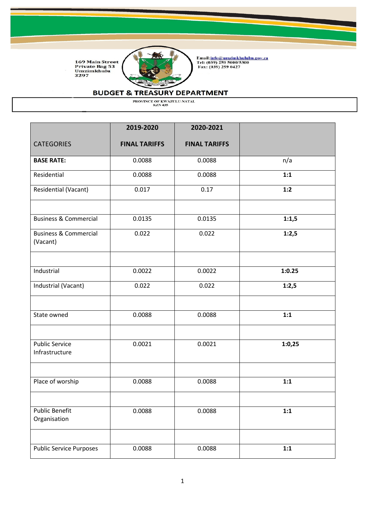

Email:<u>info@umzimkhululm.gov.za</u><br>Tel: (039) 259 5000/5300<br>Fax: (039) 259 0427

### **BUDGET & TREASURY DEPARTMENT**

|                                              | 2019-2020            | 2020-2021            |        |
|----------------------------------------------|----------------------|----------------------|--------|
| <b>CATEGORIES</b>                            | <b>FINAL TARIFFS</b> | <b>FINAL TARIFFS</b> |        |
| <b>BASE RATE:</b>                            | 0.0088               | 0.0088               | n/a    |
| Residential                                  | 0.0088               | 0.0088               | 1:1    |
| Residential (Vacant)                         | 0.017                | 0.17                 | 1:2    |
| <b>Business &amp; Commercial</b>             | 0.0135               | 0.0135               | 1:1,5  |
| <b>Business &amp; Commercial</b><br>(Vacant) | 0.022                | 0.022                | 1:2,5  |
| Industrial                                   | 0.0022               | 0.0022               | 1:0.25 |
| Industrial (Vacant)                          | 0.022                | 0.022                | 1:2,5  |
| State owned                                  | 0.0088               | 0.0088               | 1:1    |
| <b>Public Service</b><br>Infrastructure      | 0.0021               | 0.0021               | 1:0,25 |
| Place of worship                             | 0.0088               | 0.0088               | 1:1    |
| <b>Public Benefit</b><br>Organisation        | 0.0088               | 0.0088               | 1:1    |
| <b>Public Service Purposes</b>               | 0.0088               | 0.0088               | 1:1    |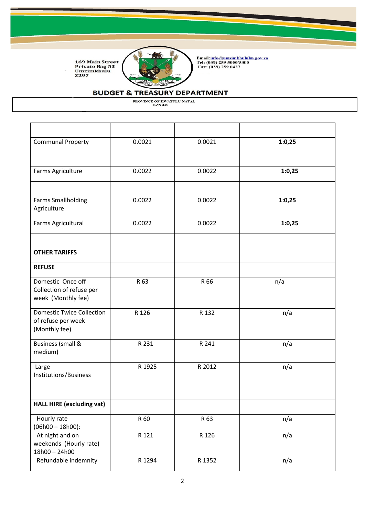

Email:<u>info@umzimkhululm.gov.za</u><br>Tel: (039) 259 5000/5300<br>Fax: (039) 259 0427

## **BUDGET & TREASURY DEPARTMENT**

| <b>Communal Property</b>                                                | 0.0021 | 0.0021 | 1:0,25 |
|-------------------------------------------------------------------------|--------|--------|--------|
| Farms Agriculture                                                       | 0.0022 | 0.0022 | 1:0,25 |
|                                                                         |        |        |        |
| <b>Farms Smallholding</b><br>Agriculture                                | 0.0022 | 0.0022 | 1:0,25 |
| Farms Agricultural                                                      | 0.0022 | 0.0022 | 1:0,25 |
| <b>OTHER TARIFFS</b>                                                    |        |        |        |
| <b>REFUSE</b>                                                           |        |        |        |
| Domestic Once off<br>Collection of refuse per<br>week (Monthly fee)     | R 63   | R 66   | n/a    |
| <b>Domestic Twice Collection</b><br>of refuse per week<br>(Monthly fee) | R 126  | R 132  | n/a    |
| <b>Business (small &amp;</b><br>medium)                                 | R 231  | R 241  | n/a    |
| Large<br>Institutions/Business                                          | R 1925 | R 2012 | n/a    |
| <b>HALL HIRE (excluding vat)</b>                                        |        |        |        |
| Hourly rate<br>$(06h00 - 18h00)$ :                                      | R 60   | R 63   | n/a    |
| At night and on<br>weekends (Hourly rate)<br>18h00 - 24h00              | R 121  | R 126  | n/a    |
| Refundable indemnity                                                    | R 1294 | R 1352 | n/a    |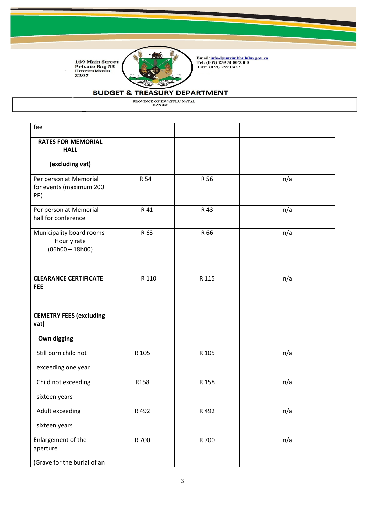

Email:<u>info@umzimkhululm.gov.za</u><br>Tel: (039) 259 5000/5300<br>Fax: (039) 259 0427

# **BUDGET & TREASURY DEPARTMENT**

| fee                                                          |       |       |     |
|--------------------------------------------------------------|-------|-------|-----|
| <b>RATES FOR MEMORIAL</b><br><b>HALL</b>                     |       |       |     |
| (excluding vat)                                              |       |       |     |
| Per person at Memorial<br>for events (maximum 200<br>PP)     | R 54  | R 56  | n/a |
| Per person at Memorial<br>hall for conference                | R 41  | R 43  | n/a |
| Municipality board rooms<br>Hourly rate<br>$(06h00 - 18h00)$ | R 63  | R 66  | n/a |
| <b>CLEARANCE CERTIFICATE</b><br><b>FEE</b>                   | R 110 | R 115 | n/a |
| <b>CEMETRY FEES (excluding</b><br>vat)                       |       |       |     |
| Own digging                                                  |       |       |     |
| Still born child not                                         | R 105 | R 105 | n/a |
| exceeding one year                                           |       |       |     |
| Child not exceeding                                          | R158  | R 158 | n/a |
| sixteen years                                                |       |       |     |
| Adult exceeding                                              | R 492 | R 492 | n/a |
| sixteen years                                                |       |       |     |
| Enlargement of the<br>aperture                               | R 700 | R 700 | n/a |
| (Grave for the burial of an                                  |       |       |     |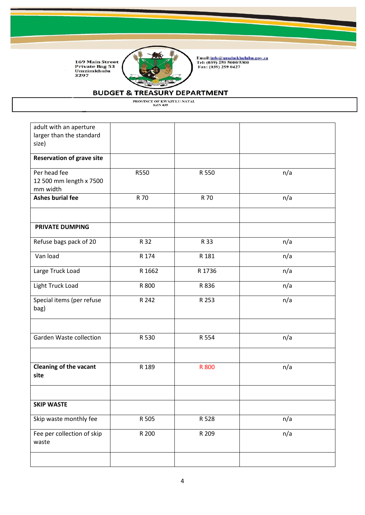

Email:<u>info@umzimkhululm.gov.za</u><br>Tel: (039) 259 5000/5300<br>Fax: (039) 259 0427

### **BUDGET & TREASURY DEPARTMENT**

PROVINCE OF KWAZULU-NATAL<br>KZN 435

adult with an aperture larger than the standard size) **Reservation of grave site** Per head fee 12 500 mm length x 7500 mm width R550 R 550 n/a **Ashes burial fee R 70** R 70 R 70 n/a **PRIVATE DUMPING** Refuse bags pack of 20 and not a R 32 and R 33 and R 33 and R 33 contract not a n/a Van load R 174 R 181 n/a Large Truck Load  $R 1662$  R 1736  $n/a$ Light Truck Load R 800 R 836 n/a Special items (per refuse bag) R 242 R 253 n/a Garden Waste collection | R 530 | R 554 | n/a **Cleaning of the vacant site** R 189 R 800 R 900 R 189 **SKIP WASTE** Skip waste monthly fee | R 505 | R 528 | n/a Fee per collection of skip waste R 200 R 209 n/a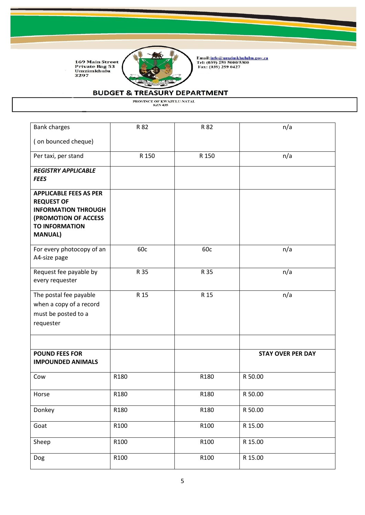

Email:<u>info@umzimkhululm.gov.za</u><br>Tel: (039) 259 5000/5300<br>Fax: (039) 259 0427

# **BUDGET & TREASURY DEPARTMENT**

| <b>Bank charges</b>                                                                                                                                 | R 82  | R 82  | n/a                      |
|-----------------------------------------------------------------------------------------------------------------------------------------------------|-------|-------|--------------------------|
| (on bounced cheque)                                                                                                                                 |       |       |                          |
| Per taxi, per stand                                                                                                                                 | R 150 | R 150 | n/a                      |
| <b>REGISTRY APPLICABLE</b><br><b>FEES</b>                                                                                                           |       |       |                          |
| <b>APPLICABLE FEES AS PER</b><br><b>REQUEST OF</b><br><b>INFORMATION THROUGH</b><br>(PROMOTION OF ACCESS<br><b>TO INFORMATION</b><br><b>MANUAL)</b> |       |       |                          |
| For every photocopy of an<br>A4-size page                                                                                                           | 60c   | 60c   | n/a                      |
| Request fee payable by<br>every requester                                                                                                           | R 35  | R 35  | n/a                      |
| The postal fee payable<br>when a copy of a record<br>must be posted to a<br>requester                                                               | R 15  | R 15  | n/a                      |
| <b>POUND FEES FOR</b><br><b>IMPOUNDED ANIMALS</b>                                                                                                   |       |       | <b>STAY OVER PER DAY</b> |
| Cow                                                                                                                                                 | R180  | R180  | R 50.00                  |
| Horse                                                                                                                                               | R180  | R180  | R 50.00                  |
| Donkey                                                                                                                                              | R180  | R180  | R 50.00                  |
| Goat                                                                                                                                                | R100  | R100  | R 15.00                  |
| Sheep                                                                                                                                               | R100  | R100  | R 15.00                  |
| Dog                                                                                                                                                 | R100  | R100  | R 15.00                  |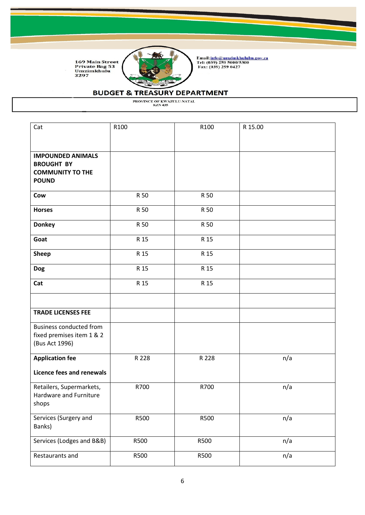

Email:<u>info@umzimkhululm.gov.za</u><br>Tel: (039) 259 5000/5300<br>Fax: (039) 259 0427

### **BUDGET & TREASURY DEPARTMENT**

| Cat                            | R100  | R100  | R 15.00 |
|--------------------------------|-------|-------|---------|
|                                |       |       |         |
|                                |       |       |         |
| <b>IMPOUNDED ANIMALS</b>       |       |       |         |
| <b>BROUGHT BY</b>              |       |       |         |
| <b>COMMUNITY TO THE</b>        |       |       |         |
| <b>POUND</b>                   |       |       |         |
|                                |       |       |         |
| Cow                            | R 50  | R 50  |         |
| <b>Horses</b>                  | R 50  | R 50  |         |
| <b>Donkey</b>                  | R 50  | R 50  |         |
|                                |       |       |         |
| Goat                           | R 15  | R 15  |         |
| <b>Sheep</b>                   | R 15  | R 15  |         |
| <b>Dog</b>                     | R 15  | R 15  |         |
| Cat                            | R 15  | R 15  |         |
|                                |       |       |         |
| <b>TRADE LICENSES FEE</b>      |       |       |         |
|                                |       |       |         |
| <b>Business conducted from</b> |       |       |         |
| fixed premises item 1 & 2      |       |       |         |
| (Bus Act 1996)                 |       |       |         |
| <b>Application fee</b>         | R 228 | R 228 | n/a     |
| Licence fees and renewals      |       |       |         |
|                                |       |       |         |
| Retailers, Supermarkets,       | R700  | R700  | n/a     |
| Hardware and Furniture         |       |       |         |
| shops                          |       |       |         |
| Services (Surgery and          | R500  | R500  | n/a     |
| Banks)                         |       |       |         |
|                                |       |       |         |
| Services (Lodges and B&B)      | R500  | R500  | n/a     |
| Restaurants and                | R500  | R500  | n/a     |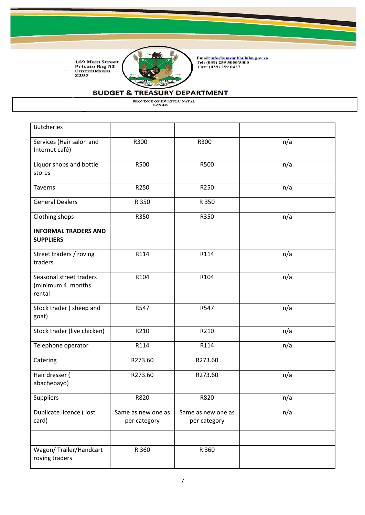

Email:<u>info@umzimkhululm.gov.za</u><br>Tel: (039) 259 5000/5300<br>Fax: (039) 259 0427

# **BUDGET & TREASURY DEPARTMENT**

| <b>Butcheries</b>                                      |                                    |                                    |     |
|--------------------------------------------------------|------------------------------------|------------------------------------|-----|
| Services (Hair salon and<br>Internet café)             | R300                               | R300                               | n/a |
| Liquor shops and bottle<br>stores                      | R500                               | R500                               | n/a |
| <b>Taverns</b>                                         | R250                               | R250                               | n/a |
| <b>General Dealers</b>                                 | R 350                              | R 350                              |     |
| Clothing shops                                         | R350                               | R350                               | n/a |
| <b>INFORMAL TRADERS AND</b><br><b>SUPPLIERS</b>        |                                    |                                    |     |
| Street traders / roving<br>traders                     | R114                               | R114                               | n/a |
| Seasonal street traders<br>(minimum 4 months<br>rental | R104                               | R104                               | n/a |
| Stock trader (sheep and<br>goat)                       | R547                               | R547                               | n/a |
| Stock trader (live chicken)                            | R210                               | R210                               | n/a |
| Telephone operator                                     | R114                               | R114                               | n/a |
| Catering                                               | R273.60                            | R273.60                            |     |
| Hair dresser (<br>abachebayo)                          | R273.60                            | R273.60                            | n/a |
| Suppliers                                              | R820                               | R820                               | n/a |
| Duplicate licence ( lost<br>card)                      | Same as new one as<br>per category | Same as new one as<br>per category | n/a |
| Wagon/ Trailer/Handcart<br>roving traders              | R 360                              | R 360                              |     |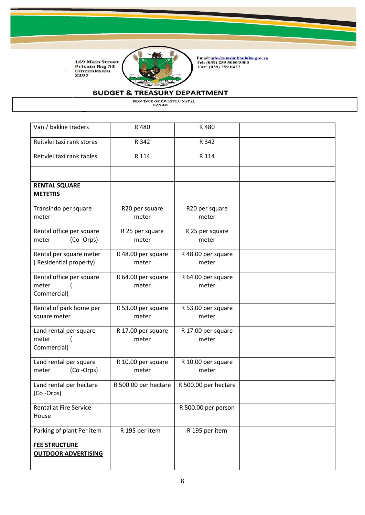

Email:<u>info@umzimkhululm.gov.za</u><br>Tel: (039) 259 5000/5300<br>Fax: (039) 259 0427

# **BUDGET & TREASURY DEPARTMENT**

| Van / bakkie traders                   | R 480                | R 480                |  |
|----------------------------------------|----------------------|----------------------|--|
| Reitvlei taxi rank stores              | R 342                | R 342                |  |
| Reitvlei taxi rank tables              | R 114                | R 114                |  |
|                                        |                      |                      |  |
| <b>RENTAL SQUARE</b><br><b>METETRS</b> |                      |                      |  |
| Transindo per square                   | R20 per square       | R20 per square       |  |
| meter                                  | meter                | meter                |  |
|                                        |                      |                      |  |
| Rental office per square               | R 25 per square      | R 25 per square      |  |
| (Co-Orps)<br>meter                     | meter                | meter                |  |
| Rental per square meter                | R 48.00 per square   | R 48.00 per square   |  |
| (Residential property)                 | meter                | meter                |  |
|                                        |                      |                      |  |
| Rental office per square               | R 64.00 per square   | R 64.00 per square   |  |
| meter                                  | meter                | meter                |  |
| Commercial)                            |                      |                      |  |
|                                        |                      |                      |  |
| Rental of park home per                | R 53.00 per square   | R 53.00 per square   |  |
| square meter                           | meter                | meter                |  |
|                                        |                      |                      |  |
| Land rental per square                 | R 17.00 per square   | R 17.00 per square   |  |
| meter                                  | meter                | meter                |  |
| Commercial)                            |                      |                      |  |
| Land rental per square                 | R 10.00 per square   | R 10.00 per square   |  |
| (Co-Orps)<br>meter                     | meter                | meter                |  |
|                                        |                      |                      |  |
| Land rental per hectare                | R 500.00 per hectare | R 500.00 per hectare |  |
| (Co-Orps)                              |                      |                      |  |
| Rental at Fire Service                 |                      | R 500.00 per person  |  |
| House                                  |                      |                      |  |
|                                        |                      |                      |  |
| Parking of plant Per item              | R 195 per item       | R 195 per item       |  |
| <b>FEE STRUCTURE</b>                   |                      |                      |  |
| <b>OUTDOOR ADVERTISING</b>             |                      |                      |  |
|                                        |                      |                      |  |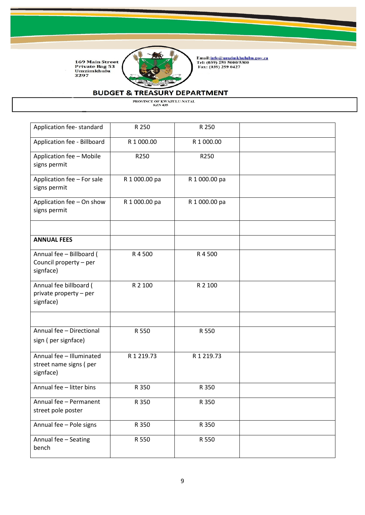

Email:<u>info@umzimkhululm.gov.za</u><br>Tel: (039) 259 5000/5300<br>Fax: (039) 259 0427

# **BUDGET & TREASURY DEPARTMENT**

| Application fee-standard                                        | R 250         | R 250         |  |
|-----------------------------------------------------------------|---------------|---------------|--|
| Application fee - Billboard                                     | R 1 000.00    | R 1 000.00    |  |
| Application fee - Mobile<br>signs permit                        | R250          | R250          |  |
| Application fee - For sale<br>signs permit                      | R 1 000.00 pa | R 1 000.00 pa |  |
| Application fee - On show<br>signs permit                       | R 1 000.00 pa | R 1 000.00 pa |  |
| <b>ANNUAL FEES</b>                                              |               |               |  |
| Annual fee - Billboard (<br>Council property - per<br>signface) | R 4 500       | R 4 500       |  |
| Annual fee billboard (<br>private property - per<br>signface)   | R 2 100       | R 2 100       |  |
|                                                                 |               |               |  |
| Annual fee - Directional<br>sign (per signface)                 | R 550         | R 550         |  |
| Annual fee - Illuminated<br>street name signs (per<br>signface) | R 1 219.73    | R 1 219.73    |  |
| Annual fee - litter bins                                        | R 350         | R 350         |  |
| Annual fee - Permanent<br>street pole poster                    | R 350         | R 350         |  |
| Annual fee - Pole signs                                         | R 350         | R 350         |  |
| Annual fee - Seating<br>bench                                   | R 550         | R 550         |  |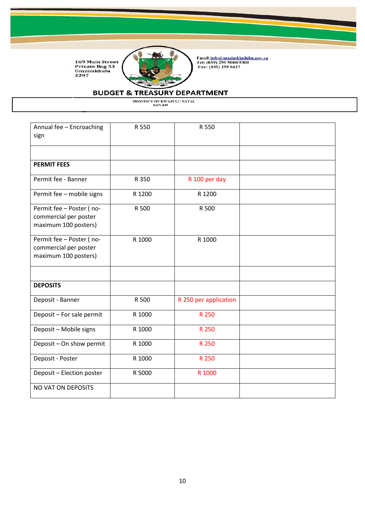

Email:<u>info@umzimkhululm.gov.za</u><br>Tel: (039) 259 5000/5300<br>Fax: (039) 259 0427

### **BUDGET & TREASURY DEPARTMENT**

| Annual fee - Encroaching<br>sign              | R 550  | R 550                 |  |
|-----------------------------------------------|--------|-----------------------|--|
|                                               |        |                       |  |
|                                               |        |                       |  |
| <b>PERMIT FEES</b>                            |        |                       |  |
| Permit fee - Banner                           | R 350  | R 100 per day         |  |
| Permit fee - mobile signs                     | R 1200 | R 1200                |  |
| Permit fee - Poster (no-                      | R 500  | R 500                 |  |
| commercial per poster<br>maximum 100 posters) |        |                       |  |
|                                               |        |                       |  |
| Permit fee - Poster (no-                      | R 1000 | R 1000                |  |
| commercial per poster                         |        |                       |  |
| maximum 100 posters)                          |        |                       |  |
|                                               |        |                       |  |
| <b>DEPOSITS</b>                               |        |                       |  |
| Deposit - Banner                              | R 500  | R 250 per application |  |
| Deposit - For sale permit                     | R 1000 | R 250                 |  |
| Deposit - Mobile signs                        | R 1000 | R 250                 |  |
| Deposit - On show permit                      | R 1000 | R 250                 |  |
| Deposit - Poster                              | R 1000 | R 250                 |  |
| Deposit - Election poster                     | R 5000 | R 1000                |  |
| NO VAT ON DEPOSITS                            |        |                       |  |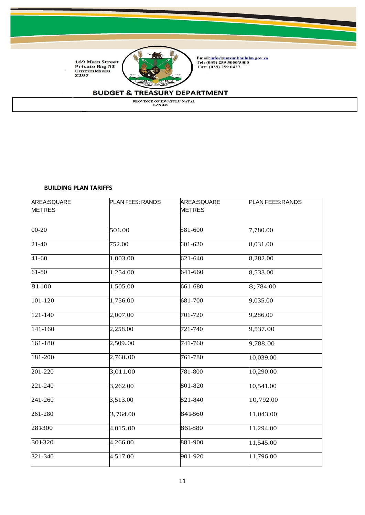

Email:<u>info@umzimkhululm.gov.za</u><br>Tel: (039) 259 5000/5300<br>Fax: (039) 259 0427

### **BUDGET & TREASURY DEPARTMENT**

PROVINCE OF KWAZULU-NATAL KZN 435

#### **BUILDING PLAN TARIFFS**

| AREA:SQUARE   | PLAN FEES: RANDS | AREA:SQUARE   | PLAN FEES: RANDS |
|---------------|------------------|---------------|------------------|
| <b>METRES</b> |                  | <b>METRES</b> |                  |
| 00-20         | 501.00           | 581-600       | 7,780.00         |
| $21-40$       | 752.00           | 601-620       | 8,031.00         |
| $41 - 60$     | 1,003.00         | 621-640       | 8,282.00         |
| 61-80         | 1,254.00         | 641-660       | 8,533.00         |
| 81-100        | 1,505.00         | 661-680       | 8;784.00         |
| 101-120       | 1,756.00         | 681-700       | 9,035.00         |
| 121-140       | 2,007.00         | 701-720       | 9,286.00         |
| $141 - 160$   | 2,258.00         | 721-740       | 9,537.00         |
| 161-180       | 2,509.00         | 741-760       | 9,788.00         |
| 181-200       | 2,760.00         | 761-780       | 10,039.00        |
| 201-220       | 3,011.00         | 781-800       | 10,290.00        |
| 221-240       | 3,262.00         | 801-820       | 10,541.00        |
| 241-260       | 3,513.00         | 821-840       | 10,792.00        |
| 261-280       | 3,764.00         | 841-860       | 11,043.00        |
| 281300        | 4,015.00         | 861-880       | 11,294.00        |
| 301-320       | 4,266.00         | 881-900       | 11,545.00        |
| 321-340       | 4,517.00         | 901-920       | 11,796.00        |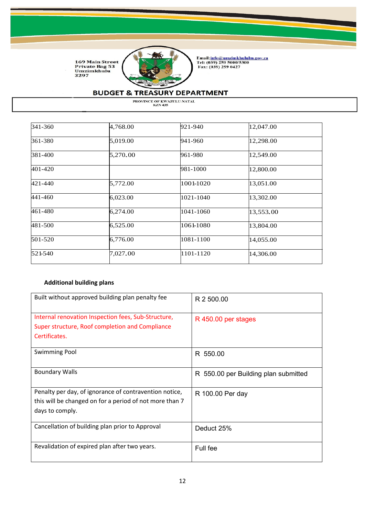

Email:<u>info@umzimkhululm.gov.za</u><br>Tel: (039) 259 5000/5300<br>Fax: (039) 259 0427

# **BUDGET & TREASURY DEPARTMENT**

PROVINCE OF KWAZULU-NATAL KZN 435

| 341-360 | 4,768.00 | 921-940   | 12,047.00 |
|---------|----------|-----------|-----------|
| 361-380 | 5,019.00 | 941-960   | 12,298.00 |
| 381-400 | 5,270.00 | 961-980   | 12,549.00 |
| 401-420 |          | 981-1000  | 12,800.00 |
| 421-440 | 5,772.00 | 1001-1020 | 13,051.00 |
| 441-460 | 6,023.00 | 1021-1040 | 13,302.00 |
| 461-480 | 6,274.00 | 1041-1060 | 13,553.00 |
| 481-500 | 6,525.00 | 1061-1080 | 13,804.00 |
| 501-520 | 6,776.00 | 1081-1100 | 14,055.00 |
| 521-540 | 7,027.00 | 1101-1120 | 14,306.00 |

### **Additional building plans**

| Built without approved building plan penalty fee                                                                                     | R 2 500.00                           |
|--------------------------------------------------------------------------------------------------------------------------------------|--------------------------------------|
| Internal renovation Inspection fees, Sub-Structure,<br>Super structure, Roof completion and Compliance<br>Certificates.              | R 450.00 per stages                  |
| <b>Swimming Pool</b>                                                                                                                 | R 550.00                             |
| <b>Boundary Walls</b>                                                                                                                | R 550.00 per Building plan submitted |
| Penalty per day, of ignorance of contravention notice,<br>this will be changed on for a period of not more than 7<br>days to comply. | R 100.00 Per day                     |
| Cancellation of building plan prior to Approval                                                                                      | Deduct 25%                           |
| Revalidation of expired plan after two years.                                                                                        | Full fee                             |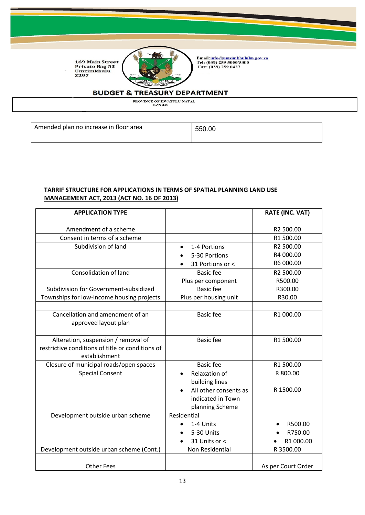

Email:<u>info@umzimkhululm.gov.za</u><br>Tel: (039) 259 5000/5300<br>Fax: (039) 259 0427

### **BUDGET & TREASURY DEPARTMENT**

PROVINCE OF KWAZULU-NATAL<br>KZN 435

Amended plan no increase in floor area 1986 1950.00

### **TARRIF STRUCTURE FOR APPLICATIONS IN TERMS OF SPATIAL PLANNING LAND USE MANAGEMENT ACT, 2013 (ACT NO. 16 OF 2013)**

| <b>APPLICATION TYPE</b>                          |                       | <b>RATE (INC. VAT)</b> |
|--------------------------------------------------|-----------------------|------------------------|
| Amendment of a scheme                            |                       | R2 500.00              |
| Consent in terms of a scheme                     |                       | R1 500.00              |
| Subdivision of land                              | 1-4 Portions          | R2 500.00              |
|                                                  | 5-30 Portions         | R4 000.00              |
|                                                  | 31 Portions or <      | R6 000.00              |
| <b>Consolidation of land</b>                     | <b>Basic</b> fee      | R2 500.00              |
|                                                  | Plus per component    | R500.00                |
| Subdivision for Government-subsidized            | <b>Basic fee</b>      | R300.00                |
| Townships for low-income housing projects        | Plus per housing unit | R30.00                 |
|                                                  |                       |                        |
| Cancellation and amendment of an                 | <b>Basic fee</b>      | R1 000.00              |
| approved layout plan                             |                       |                        |
|                                                  |                       |                        |
| Alteration, suspension / removal of              | <b>Basic fee</b>      | R1 500.00              |
| restrictive conditions of title or conditions of |                       |                        |
| establishment                                    |                       |                        |
| Closure of municipal roads/open spaces           | <b>Basic fee</b>      | R1 500.00              |
| <b>Special Consent</b>                           | Relaxation of         | R 800.00               |
|                                                  | building lines        |                        |
|                                                  | All other consents as | R 1500.00              |
|                                                  | indicated in Town     |                        |
|                                                  | planning Scheme       |                        |
| Development outside urban scheme                 | Residential           |                        |
|                                                  | 1-4 Units             | R500.00                |
|                                                  | 5-30 Units            | R750.00                |
|                                                  | 31 Units or <         | R1 000.00              |
| Development outside urban scheme (Cont.)         | Non Residential       | R 3500.00              |
| <b>Other Fees</b>                                |                       | As per Court Order     |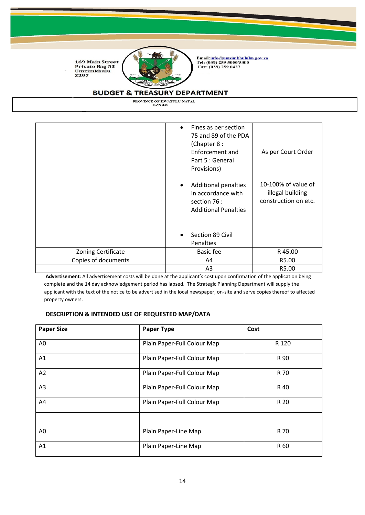

Email:<u>info@umzimkhululm.gov.za</u><br>Tel: (039) 259 5000/5300<br>Fax: (039) 259 0427

# **BUDGET & TREASURY DEPARTMENT**

PROVINCE OF KWAZULU-NATAL<br>KZN 435

|                           | Fines as per section<br>$\bullet$<br>75 and 89 of the PDA<br>(Chapter 8:<br>Enforcement and<br>Part 5 : General<br>Provisions)<br><b>Additional penalties</b><br>in accordance with<br>section 76 :<br><b>Additional Penalties</b><br>Section 89 Civil | As per Court Order<br>10-100% of value of<br>illegal building<br>construction on etc. |
|---------------------------|--------------------------------------------------------------------------------------------------------------------------------------------------------------------------------------------------------------------------------------------------------|---------------------------------------------------------------------------------------|
|                           | <b>Penalties</b>                                                                                                                                                                                                                                       |                                                                                       |
| <b>Zoning Certificate</b> | Basic fee                                                                                                                                                                                                                                              | R45.00                                                                                |
| Copies of documents       | A4                                                                                                                                                                                                                                                     | R5.00                                                                                 |
|                           | A <sub>3</sub>                                                                                                                                                                                                                                         | R5.00                                                                                 |

**Advertisement**: All advertisement costs will be done at the applicant's cost upon confirmation of the application being complete and the 14 day acknowledgement period has lapsed. The Strategic Planning Department will supply the applicant with the text of the notice to be advertised in the local newspaper, on-site and serve copies thereof to affected property owners.

#### **DESCRIPTION & INTENDED USE OF REQUESTED MAP/DATA**

| <b>Paper Size</b> | <b>Paper Type</b>           | Cost  |
|-------------------|-----------------------------|-------|
| A0                | Plain Paper-Full Colour Map | R 120 |
| A1                | Plain Paper-Full Colour Map | R 90  |
| A2                | Plain Paper-Full Colour Map | R 70  |
| A <sub>3</sub>    | Plain Paper-Full Colour Map | R 40  |
| A4                | Plain Paper-Full Colour Map | R 20  |
|                   |                             |       |
| A <sub>0</sub>    | Plain Paper-Line Map        | R 70  |
| A1                | Plain Paper-Line Map        | R 60  |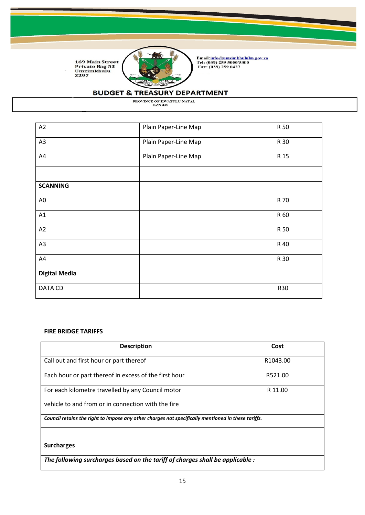

Email:<u>info@umzimkhululm.gov.za</u><br>Tel: (039) 259 5000/5300<br>Fax: (039) 259 0427

# **BUDGET & TREASURY DEPARTMENT**

PROVINCE OF KWAZULU-NATAL KZN 435

| A2                   | Plain Paper-Line Map | R 50 |
|----------------------|----------------------|------|
| A <sub>3</sub>       | Plain Paper-Line Map | R 30 |
| A4                   | Plain Paper-Line Map | R 15 |
|                      |                      |      |
| <b>SCANNING</b>      |                      |      |
| A <sub>0</sub>       |                      | R 70 |
| A1                   |                      | R 60 |
| A2                   |                      | R 50 |
| A3                   |                      | R 40 |
| A4                   |                      | R 30 |
| <b>Digital Media</b> |                      |      |
| DATA CD              |                      | R30  |

#### **FIRE BRIDGE TARIFFS**

| <b>Description</b>                                                                                 | Cost                 |  |
|----------------------------------------------------------------------------------------------------|----------------------|--|
| Call out and first hour or part thereof                                                            | R <sub>1043.00</sub> |  |
| Each hour or part thereof in excess of the first hour                                              | R521.00              |  |
| For each kilometre travelled by any Council motor                                                  | R 11.00              |  |
| vehicle to and from or in connection with the fire                                                 |                      |  |
| Council retains the right to impose any other charges not specifically mentioned in these tariffs. |                      |  |
| <b>Surcharges</b>                                                                                  |                      |  |
| The following surcharges based on the tariff of charges shall be applicable :                      |                      |  |